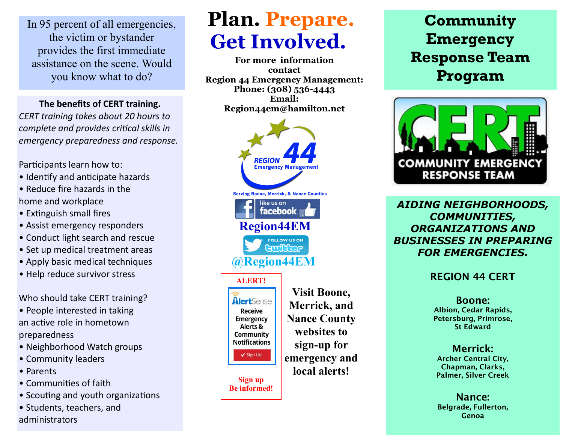In 95 percent of all emergencies, the victim or bystander provides the first immediate assistance on the scene. Would you know what to do?

**The benefits of CERT training.** *CERT training takes about 20 hours to complete and provides critical skills in emergency preparedness and response.*

Participants learn how to:

- Identify and anticipate hazards
- Reduce fire hazards in the home and workplace
- Extinguish small fires
- Assist emergency responders
- Conduct light search and rescue
- Set up medical treatment areas
- Apply basic medical techniques
- Help reduce survivor stress

Who should take CERT training?

- People interested in taking an active role in hometown preparedness
- Neighborhood Watch groups
- Community leaders
- Parents
- Communities of faith
- Scouting and youth organizations
- Students, teachers, and administrators

# **Plan. Prepare. Get Involved.**

**For more information contact Region 44 Emergency Management: Phone: (308) 536-4443 Email: Region44em@hamilton.net**



## **Community Emergency Response Team Program**



*AIDING NEIGHBORHOODS, COMMUNITIES, ORGANIZATIONS AND BUSINESSES IN PREPARING FOR EMERGENCIES.*

**REGION 44 CERT** 

**Boone: Albion, Cedar Rapids, Petersburg, Primrose, St Edward**

**Merrick: Archer Central City, Chapman, Clarks, Palmer, Silver Creek**

**Nance: Belgrade, Fullerton, Genoa**